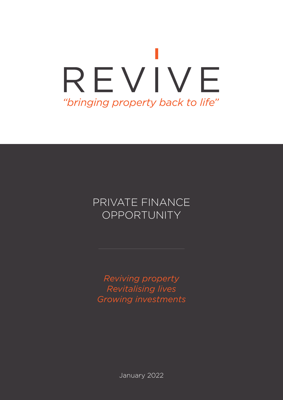# REVIVE "bringing property back to life"

### PRIVATE FINANCE OPPORTUNITY

*Reviving property Revitalising lives Growing investments*

January 2022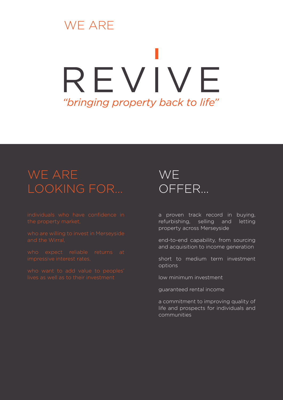## WE ARE

# REVIVE "bringing property back to life"

## WE ARE LOOKING FOR…

who expect reliable returns at impressive interest rates,

## **WE** OFFER…

a proven track record in buying, refurbishing, selling and letting property across Merseyside

end-to-end capability, from sourcing and acquisition to income generation

short to medium term investment options

low minimum investment

guaranteed rental income

a commitment to improving quality of life and prospects for individuals and communities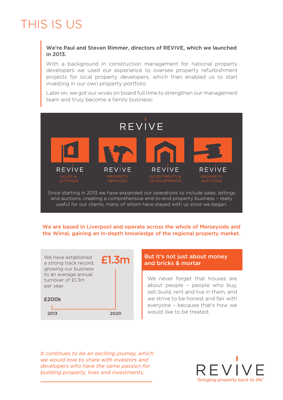## THIS IS US

#### We're Paul and Steven Rimmer, directors of REVIVE, which we launched in 2013.

With a background in construction management for national property developers we used our experience to oversee property refurbishment projects for local property developers, which then enabled us to start investing in our own property portfolio.

Later on, we got our wives on board full time to strengthen our management team and truly become a family business!



and auctions, creating a comprehensive end-to-end property business – really useful for our clients, many of whom have stayed with us since we began.

#### We are based in Liverpool and operate across the whole of Merseyside and the Wirral, gaining an in-depth knowledge of the regional property market.



### But it's not just about money and bricks & mortar

We never forget that houses are about people – people who buy, sell, build, rent and live in them, and we strive to be honest and fair with everyone – because that's how we would like to be treated.

*It continues to be an exciting journey, which we would love to share with investors and developers who have the same passion for building property, lives and investments.*

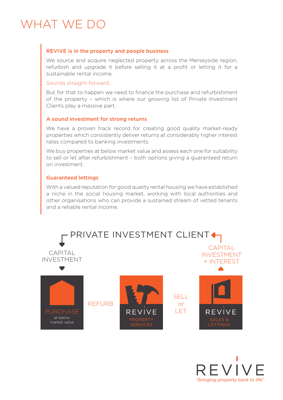## WHAT WE DO

#### REVIVE is in the property and people business

We source and acquire neglected property across the Merseyside region, refurbish and upgrade it before selling it at a profit or letting it for a sustainable rental income.

#### Sounds straight-forward…

But for that to happen we need to finance the purchase and refurbishment of the property – which is where our growing list of Private Investment Clients play a massive part.

#### A sound investment for strong returns

We have a proven track record for creating good quality market-ready properties which consistently deliver returns at considerably higher interest rates compared to banking investments.

We buy properties at below market value and assess each one for suitability to sell or let after refurbishment – both options giving a guaranteed return on investment.

#### Guaranteed lettings

With a valued reputation for good quality rental housing we have established a niche in the social housing market, working with local authorities and other organisations who can provide a sustained stream of vetted tenants and a reliable rental income.



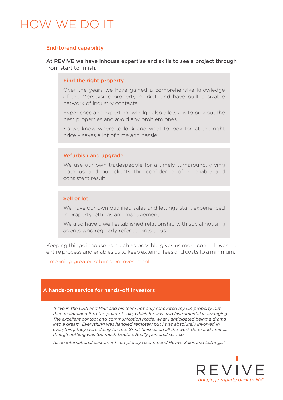## HOW WE DO IT

#### End-to-end capability

At REVIVE we have inhouse expertise and skills to see a project through from start to finish.

#### Find the right property

Over the years we have gained a comprehensive knowledge of the Merseyside property market, and have built a sizable network of industry contacts.

Experience and expert knowledge also allows us to pick out the best properties and avoid any problem ones.

So we know where to look and what to look for, at the right price – saves a lot of time and hassle!

#### Refurbish and upgrade

We use our own tradespeople for a timely turnaround, giving both us and our clients the confidence of a reliable and consistent result.

#### Sell or let

We have our own qualified sales and lettings staff, experienced in property lettings and management.

We also have a well established relationship with social housing agents who regularly refer tenants to us.

Keeping things inhouse as much as possible gives us more control over the entire process and enables us to keep external fees and costs to a minimum…

…meaning greater returns on investment.

#### A hands-on service for hands-off investors

*"I live in the USA and Paul and his team not only renovated my UK property but then maintained it to the point of sale, which he was also instrumental in arranging. The excellent contact and communication made, what I anticipated being a drama into a dream. Everything was handled remotely but I was absolutely involved in everything they were doing for me. Great finishes on all the work done and I felt as though nothing was too much trouble. Really personal service.*

*As an international customer I completely recommend Revive Sales and Lettings."*

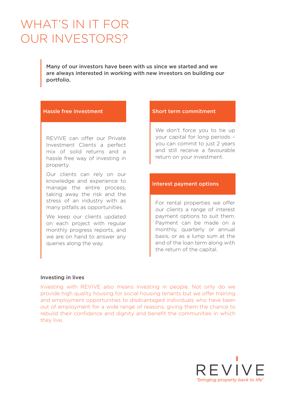## WHAT'S IN IT FOR OUR INVESTORS?

Many of our investors have been with us since we started and we are always interested in working with new investors on building our portfolio.

REVIVE can offer our Private Investment Clients a perfect mix of solid returns and a hassle free way of investing in property.

Our clients can rely on our knowledge and experience to manage the entire process, taking away the risk and the stress of an industry with as many pitfalls as opportunities.

We keep our clients updated on each project with regular monthly progress reports, and we are on hand to answer any queries along the way.

#### Hassle free investment Short term commitment

We don't force you to tie up your capital for long periods – you can commit to just 2 years and still receive a favourable return on your investment.

#### Interest payment options

For rental properties we offer our clients a range of interest payment options to suit them. Payment can be made on a monthly, quarterly or annual basis, or as a lump sum at the end of the loan term along with the return of the capital.

#### Investing in lives

Investing with REVIVE also means investing in people. Not only do we provide high quality housing for social housing tenants but we offer training and employment opportunities to disdvantaged individuals who have been out of employment for a wide range of reasons, giving them the chance to rebuild their confidence and dignity and benefit the communities in which they live.

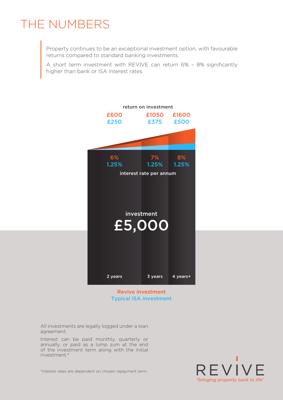## THE NUMBERS

Property continues to be an exceptional investment option, with favourable returns compared to standard banking investments.

A short term investment with REVIVE can return 6% – 8% significantly higher than bank or ISA interest rates.



#### Revive investment Typical ISA investment

All investments are legally logged under a loan agreement.

Interest can be paid monthly, quarterly or annually, or paid as a lump sum at the end of the investment term along with the initial investment.\*



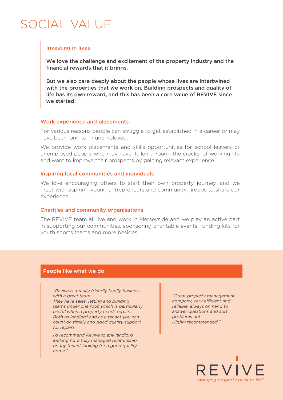## SOCIAL VALUE

#### Investing in lives

We love the challenge and excitement of the property industry and the financial rewards that it brings.

But we also care deeply about the people whose lives are intertwined with the properties that we work on. Building prospects and quality of life has its own reward, and this has been a core value of REVIVE since we started.

#### Work experience and placements

For various reasons people can struggle to get established in a career or may have been long term unemployed.

We provide work placements and skills opportunities for school leavers or unemployed people who may have 'fallen through the cracks' of working life and want to improve their prospects by gaining relevant experience.

#### Inspiring local communities and individuals

We love encouraging others to start their own property journey, and we meet with aspiring young entrepreneurs and community groups to share our experience.

#### Charities and community organisations

The REVIVE team all live and work in Merseyside and we play an active part in supporting our communities, sponsoring charitable events, funding kits for youth sports teams and more besides.

#### People like what we do

*"Revive is a really friendly family business with a great team.*

*They have sales, letting and building teams under one roof, which is particularly useful when a property needs repairs. Both as landlord and as a tenant you can count on timely and good quality support for repairs.*

*I'd recommend Revive to any landlord looking for a fully managed relationship or any tenant looking for a good quality home."*

*"Great property management company, very efficient and reliable, always on hand to answer questions and sort problems out. Highly recommended."*